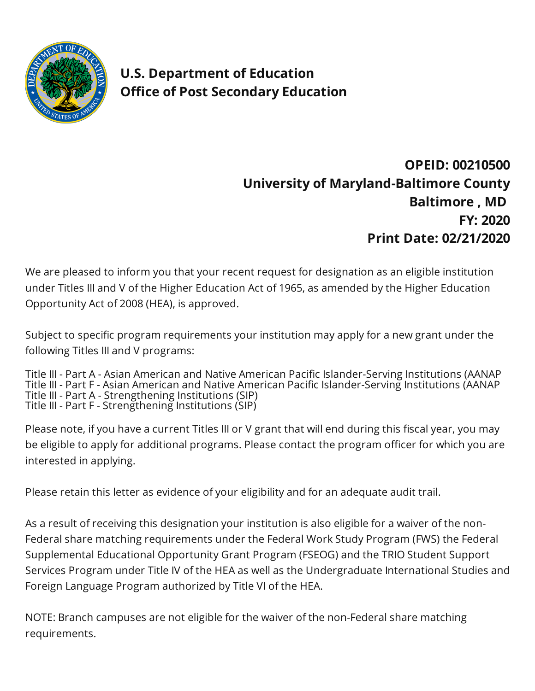

**U.S. Department of Education Office of Post Secondary Education** 

## **OPEID: 00210500 University of Maryland-Baltimore County Baltimore , MD FY: 2020 Print Date: 02/21/2020**

We are pleased to inform you that your recent request for designation as an eligible institution under Titles III and V of the Higher Education Act of 1965, as amended by the Higher Education Opportunity Act of 2008 (HEA), is approved.

Subject to specific program requirements your institution may apply for a new grant under the following Titles III and V programs:

Title III - Part A - Asian American and Native American Pacific Islander-Serving Institutions (AANAP Title III - Part F - Asian American and Native American Pacific Islander-Serving Institutions (AANAP Title III - Part A - Strengthening Institutions (SIP) Title III - Part F - Strengthening Institutions (SIP)

Please note, if you have a current Titles III or V grant that will end during this fiscal year, you may be eligible to apply for additional programs. Please contact the program officer for which you are interested in applying.

Please retain this letter as evidence of your eligibility and for an adequate audit trail.

As a result of receiving this designation your institution is also eligible for a waiver of the non-Federal share matching requirements under the Federal Work Study Program (FWS) the Federal Supplemental Educational Opportunity Grant Program (FSEOG) and the TRIO Student Support Services Program under Title IV of the HEA as well as the Undergraduate International Studies and Foreign Language Program authorized by Title VI of the HEA.

NOTE: Branch campuses are not eligible for the waiver of the non-Federal share matching requirements.